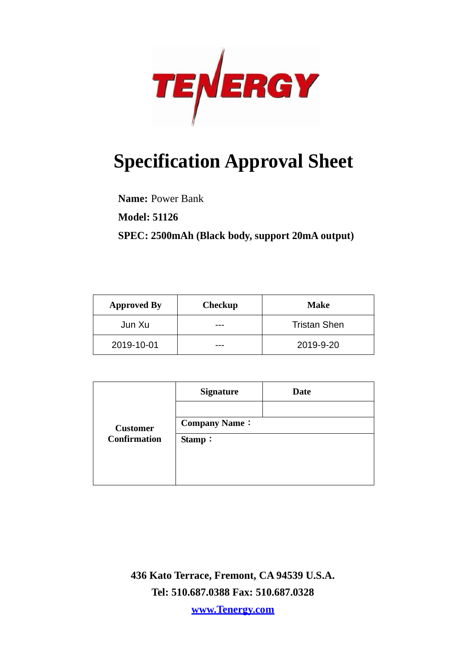

# **Specification Approval Sheet**

**Name:** Power Bank

**Model: 51126**

**SPEC: 2500mAh (Black body, support 20mA output)**

| <b>Approved By</b> | <b>Checkup</b> | <b>Make</b>         |
|--------------------|----------------|---------------------|
| Jun Xu             |                | <b>Tristan Shen</b> |
| 2019-10-01         |                | 2019-9-20           |

|                     | <b>Signature</b>     | <b>Date</b> |
|---------------------|----------------------|-------------|
|                     |                      |             |
| <b>Customer</b>     | <b>Company Name:</b> |             |
| <b>Confirmation</b> | Stamp:               |             |
|                     |                      |             |
|                     |                      |             |
|                     |                      |             |

**436 Kato Terrace, Fremont, CA 94539 U.S.A. Tel: 510.687.0388 Fax: 510.687.0328**

**www.Tenergy.com**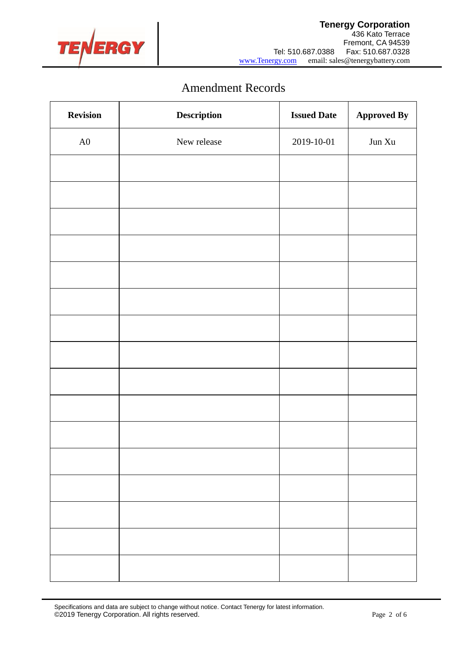

# Amendment Records

| <b>Revision</b> | Description | <b>Issued Date</b> | <b>Approved By</b>                                |
|-----------------|-------------|--------------------|---------------------------------------------------|
| ${\rm A0}$      | New release | 2019-10-01         | $\mathop{\text{Jun}}\nolimits \mathop{\text{Xu}}$ |
|                 |             |                    |                                                   |
|                 |             |                    |                                                   |
|                 |             |                    |                                                   |
|                 |             |                    |                                                   |
|                 |             |                    |                                                   |
|                 |             |                    |                                                   |
|                 |             |                    |                                                   |
|                 |             |                    |                                                   |
|                 |             |                    |                                                   |
|                 |             |                    |                                                   |
|                 |             |                    |                                                   |
|                 |             |                    |                                                   |
|                 |             |                    |                                                   |
|                 |             |                    |                                                   |
|                 |             |                    |                                                   |
|                 |             |                    |                                                   |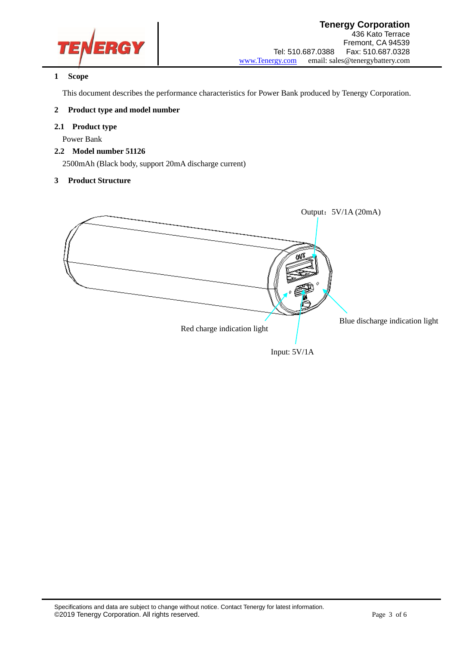

#### **1 Scope**

This document describes the performance characteristics for Power Bank produced by Tenergy Corporation.

#### **2 Product type and model number**

#### **2.1 Product type**

Power Bank

### **2.2 Model number 51126**

2500mAh (Black body, support 20mA discharge current)

#### **3 Product Structure**

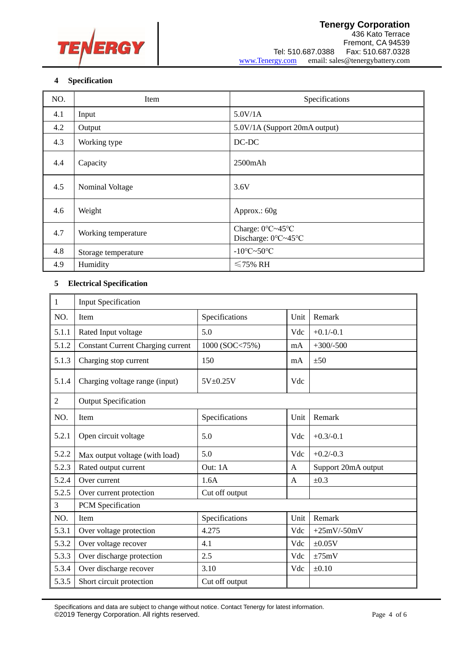

### **4 Specification**

| NO. | Item                | Specifications                          |  |
|-----|---------------------|-----------------------------------------|--|
| 4.1 | Input               | 5.0V/1A                                 |  |
| 4.2 | Output              | 5.0V/1A (Support 20mA output)           |  |
| 4.3 | Working type        | DC-DC                                   |  |
| 4.4 | Capacity            | $2500$ m $Ah$                           |  |
| 4.5 | Nominal Voltage     | 3.6V                                    |  |
| 4.6 | Weight              | Approx.: 60g                            |  |
| 4.7 | Working temperature | Charge: 0°C~45°C<br>Discharge: 0°C~45°C |  |
| 4.8 | Storage temperature | $-10^{\circ}$ C $\sim$ 50 $^{\circ}$ C  |  |
| 4.9 | Humidity            | $\leq 75\%$ RH                          |  |

## **5 Electrical Specification**

| 1              | <b>Input Specification</b>               |                |      |                     |  |
|----------------|------------------------------------------|----------------|------|---------------------|--|
| NO.            | Item                                     | Specifications | Unit | Remark              |  |
| 5.1.1          | Rated Input voltage                      | 5.0            | Vdc  | $+0.1/-0.1$         |  |
| 5.1.2          | <b>Constant Current Charging current</b> | 1000 (SOC<75%) | mA   | $+300/-500$         |  |
| 5.1.3          | Charging stop current                    | 150            | mA   | ±50                 |  |
| 5.1.4          | Charging voltage range (input)           | 5V±0.25V       | Vdc  |                     |  |
| $\overline{2}$ | <b>Output Specification</b>              |                |      |                     |  |
| NO.            | Item                                     | Specifications | Unit | Remark              |  |
| 5.2.1          | Open circuit voltage                     | 5.0            | Vdc  | $+0.3/-0.1$         |  |
| 5.2.2          | Max output voltage (with load)           | 5.0            | Vdc  | $+0.2/-0.3$         |  |
| 5.2.3          | Rated output current                     | Out: 1A        | A    | Support 20mA output |  |
| 5.2.4          | Over current                             | 1.6A           | A    | $\pm 0.3$           |  |
| 5.2.5          | Over current protection                  | Cut off output |      |                     |  |
| 3              | PCM Specification                        |                |      |                     |  |
| NO.            | Item                                     | Specifications | Unit | Remark              |  |
| 5.3.1          | Over voltage protection                  | 4.275          | Vdc  | $+25mV-50mV$        |  |
| 5.3.2          | Over voltage recover                     | 4.1            | Vdc  | $\pm 0.05V$         |  |
| 5.3.3          | Over discharge protection                | 2.5            | Vdc  | $\pm 75$ mV         |  |
| 5.3.4          | Over discharge recover                   | 3.10           | Vdc  | $\pm 0.10$          |  |
| 5.3.5          | Short circuit protection                 | Cut off output |      |                     |  |

Specifications and data are subject to change without notice. Contact Tenergy for latest information. ©2019 Tenergy Corporation. All rights reserved. example the contract of 6 of 6 page 4 of 6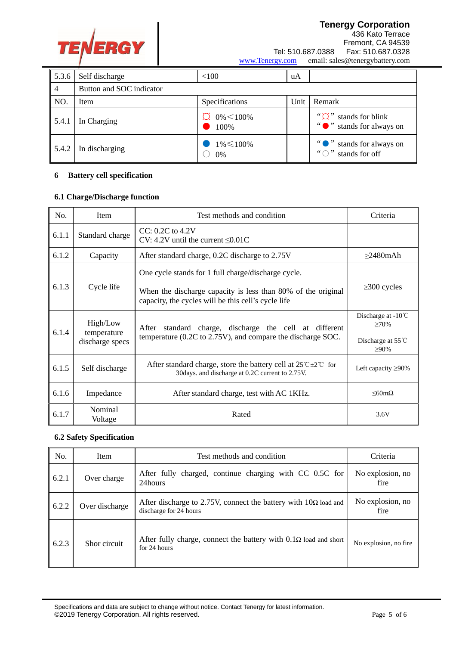

#### **Tenergy Corporation** 436 Kato Terrace Fremont, CA 94539 Tel: 510.687.0388 Fax: 510.687.0328<br>www.Tenergy.com email: sales@tenergybattery.com email: sales@tenergybattery.com

| 5.3.6 | Self discharge           | < 100                    | uA   |                                                             |
|-------|--------------------------|--------------------------|------|-------------------------------------------------------------|
| 4     | Button and SOC indicator |                          |      |                                                             |
| NO.   | Item                     | Specifications           | Unit | Remark                                                      |
| 5.4.1 | In Charging              | $0\% \le 100\%$<br>100\% |      | $``\cap"$<br>stands for blink<br>" o " stands for always on |
| 5.4.2 | In discharging           | $1\% \leq 100\%$<br>0%   |      | " stands for always on<br>$\lq \cap$ "<br>stands for off    |

#### **6 Battery cell specification**

#### **6.1 Charge/Discharge function**

| No.                                                 | Item               | Test methods and condition                                                                                                           | Criteria                                |
|-----------------------------------------------------|--------------------|--------------------------------------------------------------------------------------------------------------------------------------|-----------------------------------------|
| 6.1.1                                               | Standard charge    | $CC: 0.2C$ to $4.2V$<br>CV: 4.2V until the current $\leq 0.01C$                                                                      |                                         |
| 6.1.2                                               | Capacity           | After standard charge, 0.2C discharge to 2.75V                                                                                       | $\geq$ 2480mAh                          |
|                                                     |                    | One cycle stands for 1 full charge/discharge cycle.                                                                                  |                                         |
| 6.1.3                                               | Cycle life         | When the discharge capacity is less than 80% of the original<br>capacity, the cycles will be this cell's cycle life                  | $\geq$ 300 cycles                       |
| High/Low<br>6.1.4<br>temperature<br>discharge specs |                    | standard charge, discharge the cell at different<br>After                                                                            | Discharge at $-10^{\circ}$ C<br>$>70\%$ |
|                                                     |                    | temperature (0.2C to 2.75V), and compare the discharge SOC.                                                                          | Discharge at 55°C<br>$>90\%$            |
| 6.1.5                                               | Self discharge     | After standard charge, store the battery cell at $25^{\circ}C \pm 2^{\circ}C$ for<br>30days. and discharge at 0.2C current to 2.75V. | Left capacity $\geq 90\%$               |
| 6.1.6                                               | Impedance          | After standard charge, test with AC 1KHz.                                                                                            | $\leq 60$ m $\Omega$                    |
| 6.1.7                                               | Nominal<br>Voltage | Rated                                                                                                                                | 3.6V                                    |

#### **6.2 Safety Specification**

| No.   | <b>Item</b>    | Test methods and condition                                                                       | Criteria                 |
|-------|----------------|--------------------------------------------------------------------------------------------------|--------------------------|
| 6.2.1 | Over charge    | After fully charged, continue charging with CC 0.5C for<br>24hours                               | No explosion, no<br>fire |
| 6.2.2 | Over discharge | After discharge to 2.75V, connect the battery with $10\Omega$ load and<br>discharge for 24 hours | No explosion, no<br>fire |
| 6.2.3 | Shor circuit   | After fully charge, connect the battery with $0.1\Omega$ load and short<br>for 24 hours          | No explosion, no fire.   |